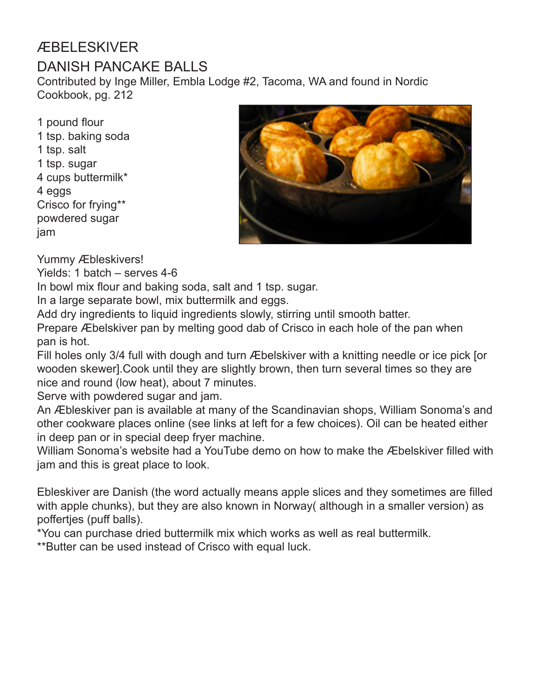### ÆBELESKIVER

### DANISH PANCAKE BALLS

Contributed by Inge Miller, Embla Lodge #2, Tacoma, WA and found in Nordic Cookbook, pg. 212

1 pound flour 1 tsp. baking soda 1 tsp. salt 1 tsp. sugar 4 cups buttermilk\* 4 eggs Crisco for frying\*\* powdered sugar jam



Yummy Æbleskivers!

Yields: 1 batch – serves 4-6

In bowl mix flour and baking soda, salt and 1 tsp. sugar.

In a large separate bowl, mix buttermilk and eggs.

Add dry ingredients to liquid ingredients slowly, stirring until smooth batter.

Prepare Æbelskiver pan by melting good dab of Crisco in each hole of the pan when pan is hot.

Fill holes only 3/4 full with dough and turn Æbelskiver with a knitting needle or ice pick [or wooden skewer].Cook until they are slightly brown, then turn several times so they are nice and round (low heat), about 7 minutes.

Serve with powdered sugar and jam.

An Æbleskiver pan is available at many of the Scandinavian shops, William Sonoma's and other cookware places online (see links at left for a few choices). Oil can be heated either in deep pan or in special deep fryer machine.

William Sonoma's website had a YouTube demo on how to make the Æbelskiver filled with jam and this is great place to look.

Ebleskiver are Danish (the word actually means apple slices and they sometimes are filled with apple chunks), but they are also known in Norway although in a smaller version) as poffertjes (puff balls).

\*You can purchase dried buttermilk mix which works as well as real buttermilk.

\*\*Butter can be used instead of Crisco with equal luck.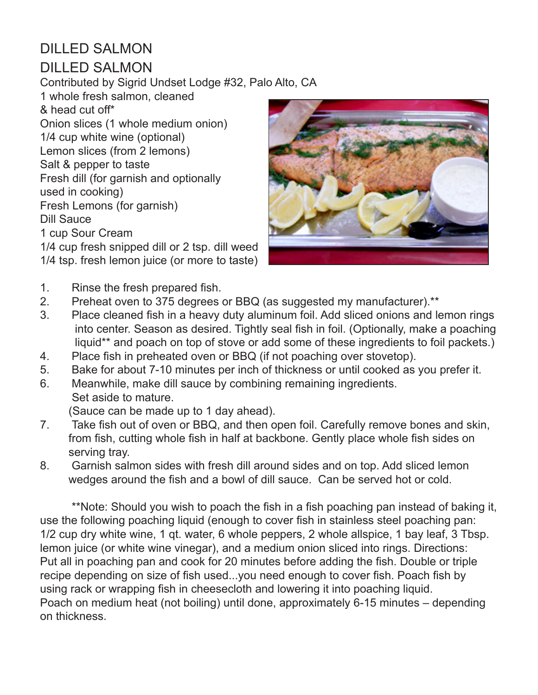# DILLED SALMON

#### DILLED SALMON

Contributed by Sigrid Undset Lodge #32, Palo Alto, CA

1 whole fresh salmon, cleaned & head cut off\* Onion slices (1 whole medium onion) 1/4 cup white wine (optional) Lemon slices (from 2 lemons) Salt & pepper to taste Fresh dill (for garnish and optionally used in cooking) Fresh Lemons (for garnish) Dill Sauce 1 cup Sour Cream

1/4 cup fresh snipped dill or 2 tsp. dill weed 1/4 tsp. fresh lemon juice (or more to taste)



- 1. Rinse the fresh prepared fish.
- 2. Preheat oven to 375 degrees or BBQ (as suggested my manufacturer).\*\*
- 3. Place cleaned fish in a heavy duty aluminum foil. Add sliced onions and lemon rings into center. Season as desired. Tightly seal fish in foil. (Optionally, make a poaching liquid\*\* and poach on top of stove or add some of these ingredients to foil packets.)
- 4. Place fish in preheated oven or BBQ (if not poaching over stovetop).
- 5. Bake for about 7-10 minutes per inch of thickness or until cooked as you prefer it.
- 6. Meanwhile, make dill sauce by combining remaining ingredients. Set aside to mature.

(Sauce can be made up to 1 day ahead).

- 7. Take fish out of oven or BBQ, and then open foil. Carefully remove bones and skin, from fish, cutting whole fish in half at backbone. Gently place whole fish sides on serving tray.
- 8. Garnish salmon sides with fresh dill around sides and on top. Add sliced lemon wedges around the fish and a bowl of dill sauce. Can be served hot or cold.

\*\*Note: Should you wish to poach the fish in a fish poaching pan instead of baking it, use the following poaching liquid (enough to cover fish in stainless steel poaching pan: 1/2 cup dry white wine, 1 qt. water, 6 whole peppers, 2 whole allspice, 1 bay leaf, 3 Tbsp. lemon juice (or white wine vinegar), and a medium onion sliced into rings. Directions: Put all in poaching pan and cook for 20 minutes before adding the fish. Double or triple recipe depending on size of fish used...you need enough to cover fish. Poach fish by using rack or wrapping fish in cheesecloth and lowering it into poaching liquid. Poach on medium heat (not boiling) until done, approximately 6-15 minutes – depending on thickness.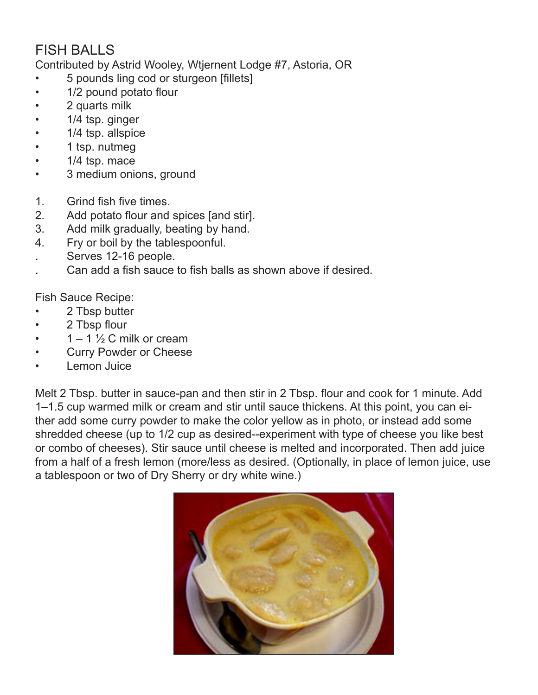## FISH BALLS

Contributed by Astrid Wooley, Wtjernent Lodge #7, Astoria, OR

- 5 pounds ling cod or sturgeon [fillets]
- 1/2 pound potato flour
- 2 quarts milk
- 1/4 tsp. ginger
- 1/4 tsp. allspice
- 1 tsp. nutmeg
- 1/4 tsp. mace
- 3 medium onions, ground
- 1. Grind fish five times.
- 2. Add potato flour and spices [and stir].
- 3. Add milk gradually, beating by hand.
- 4. Fry or boil by the tablespoonful.
- . Serves 12-16 people.
- . Can add a fish sauce to fish balls as shown above if desired.

Fish Sauce Recipe:

- 2 Tbsp butter
- 2 Tbsp flour
- 1 1  $\frac{1}{2}$  C milk or cream
- Curry Powder or Cheese
- Lemon Juice

Melt 2 Tbsp. butter in sauce-pan and then stir in 2 Tbsp. flour and cook for 1 minute. Add 1–1.5 cup warmed milk or cream and stir until sauce thickens. At this point, you can either add some curry powder to make the color yellow as in photo, or instead add some shredded cheese (up to 1/2 cup as desired--experiment with type of cheese you like best or combo of cheeses). Stir sauce until cheese is melted and incorporated. Then add juice from a half of a fresh lemon (more/less as desired. (Optionally, in place of lemon juice, use a tablespoon or two of Dry Sherry or dry white wine.)

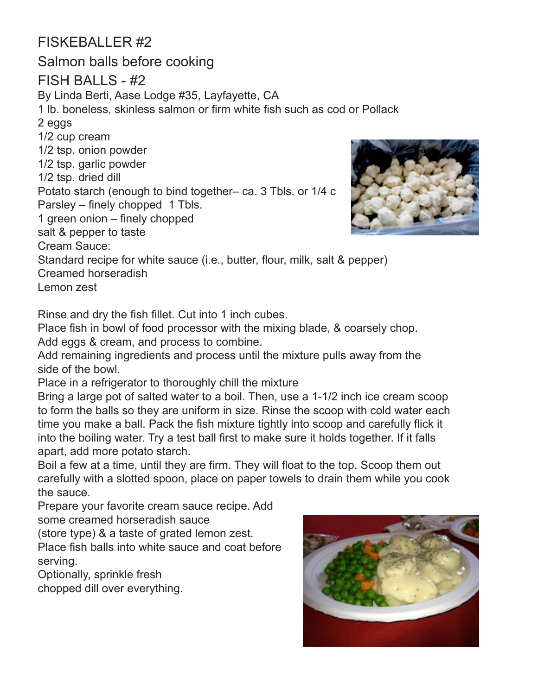### FISKEBALLER #2

Salmon balls before cooking FISH BALLS - #2 By Linda Berti, Aase Lodge #35, Layfayette, CA 1 lb. boneless, skinless salmon or firm white fish such as cod or Pollack 2 eggs 1/2 cup cream 1/2 tsp. onion powder 1/2 tsp. garlic powder 1/2 tsp. dried dill Potato starch (enough to bind together– ca. 3 Tbls. or 1/4 c Parsley – finely chopped 1 Tbls. 1 green onion – finely chopped salt & pepper to taste Cream Sauce: Standard recipe for white sauce (i.e., butter, flour, milk, salt & pepper) Creamed horseradish

Lemon zest

Rinse and dry the fish fillet. Cut into 1 inch cubes.

Place fish in bowl of food processor with the mixing blade, & coarsely chop. Add eggs & cream, and process to combine.

Add remaining ingredients and process until the mixture pulls away from the side of the bowl.

Place in a refrigerator to thoroughly chill the mixture

Bring a large pot of salted water to a boil. Then, use a 1-1/2 inch ice cream scoop to form the balls so they are uniform in size. Rinse the scoop with cold water each time you make a ball. Pack the fish mixture tightly into scoop and carefully flick it into the boiling water. Try a test ball first to make sure it holds together. If it falls apart, add more potato starch.

Boil a few at a time, until they are firm. They will float to the top. Scoop them out carefully with a slotted spoon, place on paper towels to drain them while you cook the sauce.

Prepare your favorite cream sauce recipe. Add some creamed horseradish sauce

(store type) & a taste of grated lemon zest.

Place fish balls into white sauce and coat before serving.

Optionally, sprinkle fresh

chopped dill over everything.



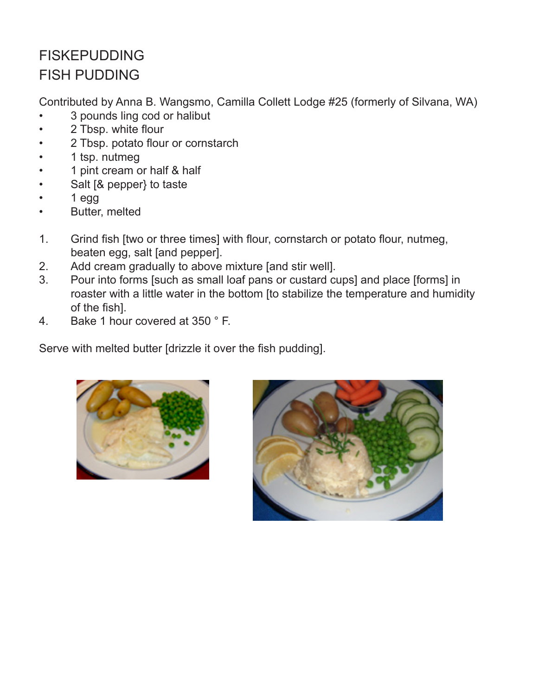# FISKEPUDDING FISH PUDDING

Contributed by Anna B. Wangsmo, Camilla Collett Lodge #25 (formerly of Silvana, WA)

- 3 pounds ling cod or halibut
- 2 Tbsp. white flour
- 2 Tbsp. potato flour or cornstarch
- 1 tsp. nutmeg
- 1 pint cream or half & half
- Salt [& pepper} to taste
- 1 egg
- Butter, melted
- 1. Grind fish [two or three times] with flour, cornstarch or potato flour, nutmeg, beaten egg, salt [and pepper].
- 2. Add cream gradually to above mixture [and stir well].
- 3. Pour into forms [such as small loaf pans or custard cups] and place [forms] in roaster with a little water in the bottom [to stabilize the temperature and humidity of the fish].
- 4. Bake 1 hour covered at 350 ° F.

Serve with melted butter [drizzle it over the fish pudding].



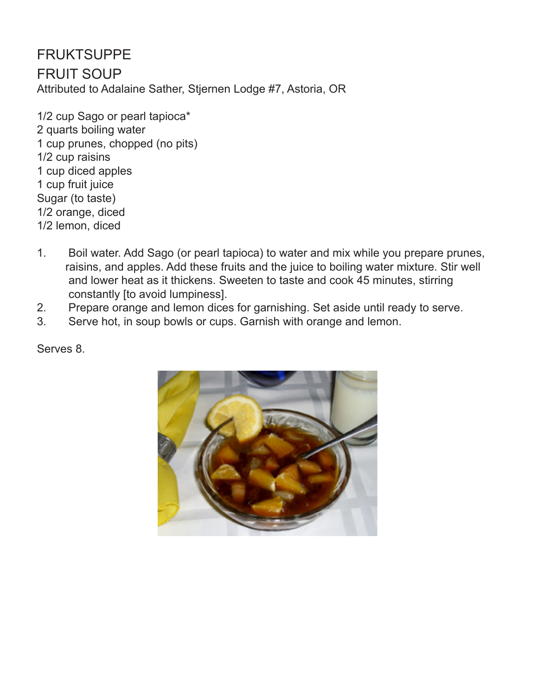FRUKTSUPPE FRUIT SOUP Attributed to Adalaine Sather, Stjernen Lodge #7, Astoria, OR

1/2 cup Sago or pearl tapioca\* 2 quarts boiling water 1 cup prunes, chopped (no pits) 1/2 cup raisins 1 cup diced apples 1 cup fruit juice Sugar (to taste) 1/2 orange, diced 1/2 lemon, diced

- 1. Boil water. Add Sago (or pearl tapioca) to water and mix while you prepare prunes, raisins, and apples. Add these fruits and the juice to boiling water mixture. Stir well and lower heat as it thickens. Sweeten to taste and cook 45 minutes, stirring constantly [to avoid lumpiness].
- 2. Prepare orange and lemon dices for garnishing. Set aside until ready to serve.
- 3. Serve hot, in soup bowls or cups. Garnish with orange and lemon.

Serves 8.

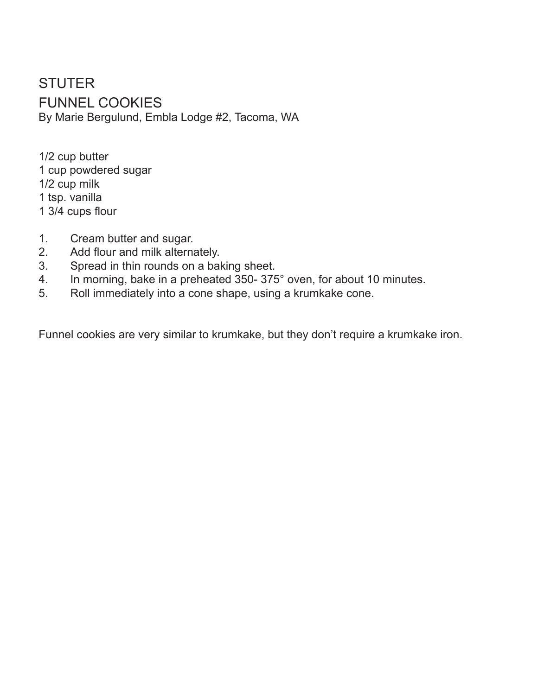**STUTER** FUNNEL COOKIES By Marie Bergulund, Embla Lodge #2, Tacoma, WA

1/2 cup butter 1 cup powdered sugar 1/2 cup milk 1 tsp. vanilla 1 3/4 cups flour

- 1. Cream butter and sugar.
- 2. Add flour and milk alternately.
- 3. Spread in thin rounds on a baking sheet.
- 4. In morning, bake in a preheated 350- 375° oven, for about 10 minutes.
- 5. Roll immediately into a cone shape, using a krumkake cone.

Funnel cookies are very similar to krumkake, but they don't require a krumkake iron.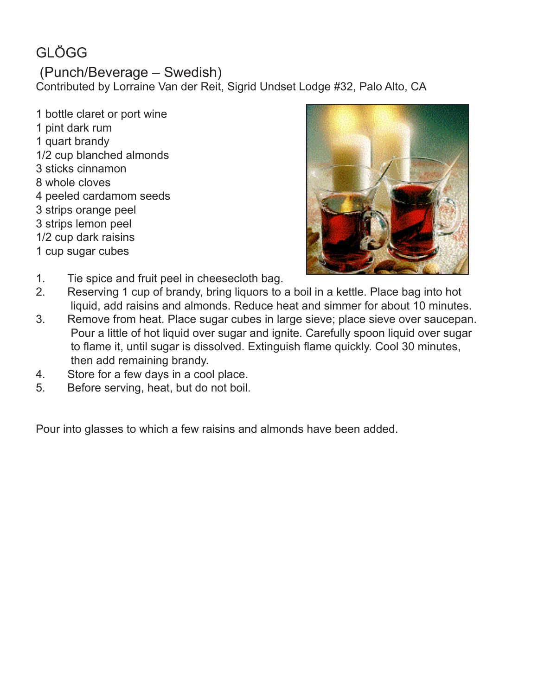# GLÖGG

#### (Punch/Beverage – Swedish)

Contributed by Lorraine Van der Reit, Sigrid Undset Lodge #32, Palo Alto, CA

1 bottle claret or port wine 1 pint dark rum 1 quart brandy 1/2 cup blanched almonds 3 sticks cinnamon 8 whole cloves 4 peeled cardamom seeds 3 strips orange peel 3 strips lemon peel 1/2 cup dark raisins 1 cup sugar cubes



- 1. Tie spice and fruit peel in cheesecloth bag.
- 2. Reserving 1 cup of brandy, bring liquors to a boil in a kettle. Place bag into hot liquid, add raisins and almonds. Reduce heat and simmer for about 10 minutes.
- 3. Remove from heat. Place sugar cubes in large sieve; place sieve over saucepan. Pour a little of hot liquid over sugar and ignite. Carefully spoon liquid over sugar to flame it, until sugar is dissolved. Extinguish flame quickly. Cool 30 minutes, then add remaining brandy.
- 4. Store for a few days in a cool place.
- 5. Before serving, heat, but do not boil.

Pour into glasses to which a few raisins and almonds have been added.